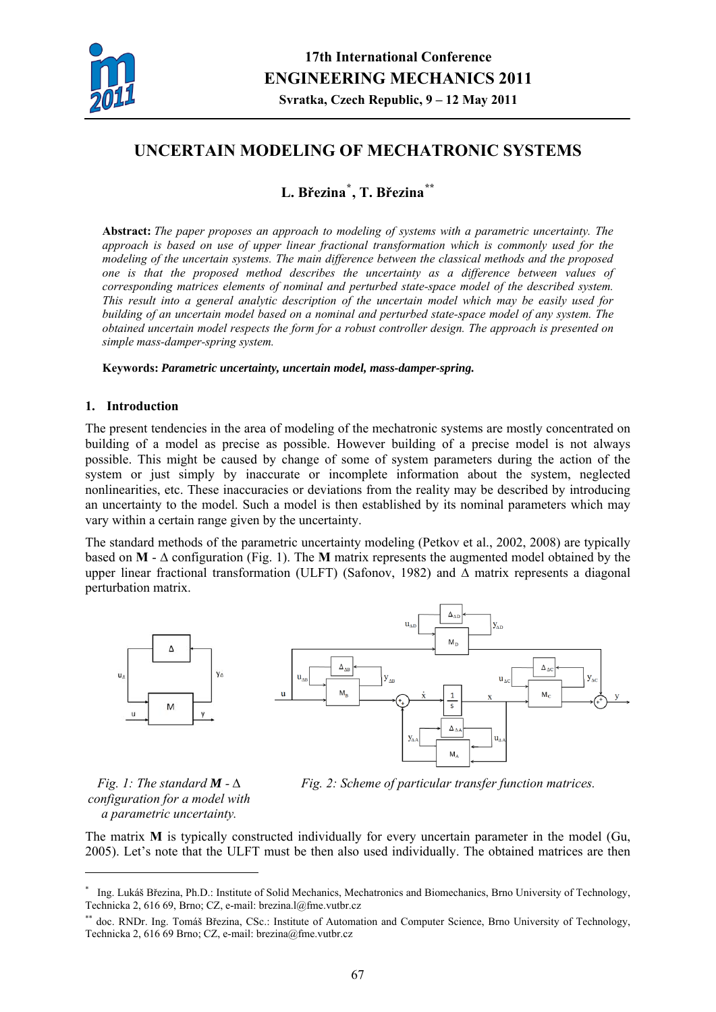

# **UNCERTAIN MODELING OF MECHATRONIC SYSTEMS**

**L. Březina[\\*](#page-0-0) , T. Březina[\\*\\*](#page-0-1)**

**Abstract:** *The paper proposes an approach to modeling of systems with a parametric uncertainty. The approach is based on use of upper linear fractional transformation which is commonly used for the modeling of the uncertain systems. The main difference between the classical methods and the proposed one is that the proposed method describes the uncertainty as a difference between values of corresponding matrices elements of nominal and perturbed state-space model of the described system. This result into a general analytic description of the uncertain model which may be easily used for building of an uncertain model based on a nominal and perturbed state-space model of any system. The obtained uncertain model respects the form for a robust controller design. The approach is presented on simple mass-damper-spring system.* 

**Keywords:** *Parametric uncertainty, uncertain model, mass-damper-spring.* 

## **1. Introduction**

The present tendencies in the area of modeling of the mechatronic systems are mostly concentrated on building of a model as precise as possible. However building of a precise model is not always possible. This might be caused by change of some of system parameters during the action of the system or just simply by inaccurate or incomplete information about the system, neglected nonlinearities, etc. These inaccuracies or deviations from the reality may be described by introducing an uncertainty to the model. Such a model is then established by its nominal parameters which may vary within a certain range given by the uncertainty.

The standard methods of the parametric uncertainty modeling (Petkov et al., 2002, 2008) are typically based on **M** - ∆ configuration (Fig. 1). The **M** matrix represents the augmented model obtained by the upper linear fractional transformation (ULFT) (Safonov, 1982) and ∆ matrix represents a diagonal perturbation matrix.



*Fig. 1: The standard <i>M* -  $\Delta$ *configuration for a model with a parametric uncertainty.* 

1



The matrix **M** is typically constructed individually for every uncertain parameter in the model (Gu, 2005). Let's note that the ULFT must be then also used individually. The obtained matrices are then

<span id="page-0-0"></span><sup>\*</sup> Ing. Lukáš Březina, Ph.D.: Institute of Solid Mechanics, Mechatronics and Biomechanics, Brno University of Technology, Technicka 2, 616 69, Brno; CZ, e-mail: brezina.l@fme.vutbr.cz

<span id="page-0-1"></span>doc. RNDr. Ing. Tomáš Březina, CSc.: Institute of Automation and Computer Science, Brno University of Technology, Technicka 2, 616 69 Brno; CZ, e-mail: brezina@fme.vutbr.cz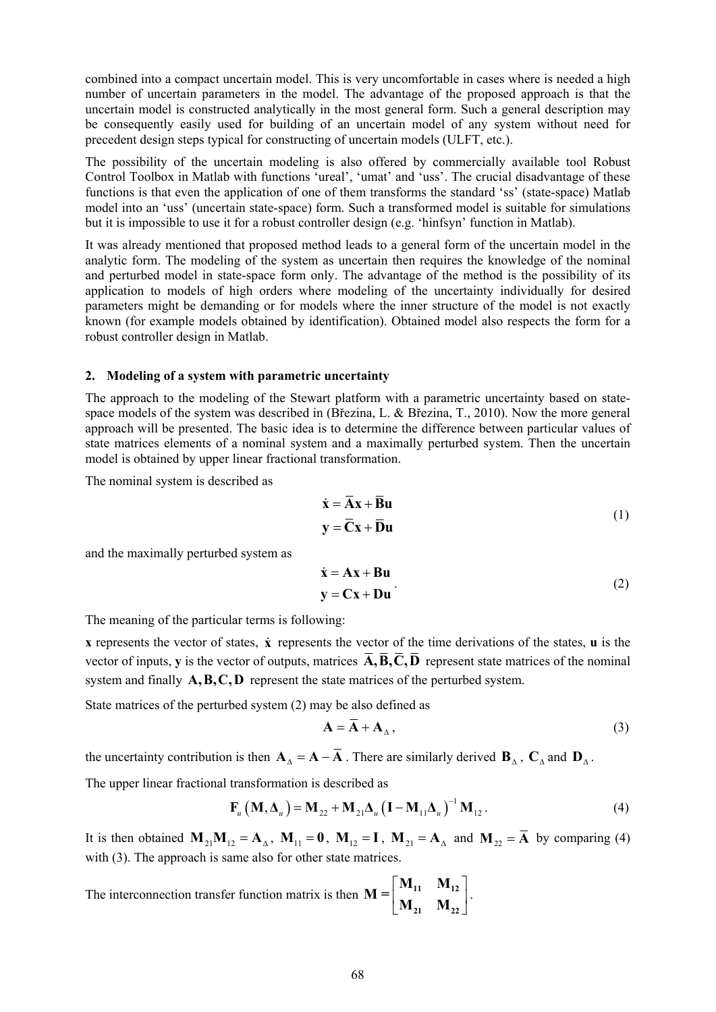combined into a compact uncertain model. This is very uncomfortable in cases where is needed a high number of uncertain parameters in the model. The advantage of the proposed approach is that the uncertain model is constructed analytically in the most general form. Such a general description may be consequently easily used for building of an uncertain model of any system without need for precedent design steps typical for constructing of uncertain models (ULFT, etc.).

functions is that even the application of one of them transforms the standard 'ss' (state-space) Matlab The possibility of the uncertain modeling is also offered by commercially available tool Robust Control Toolbox in Matlab with functions 'ureal', 'umat' and 'uss'. The crucial disadvantage of these model into an 'uss' (uncertain state-space) form. Such a transformed model is suitable for simulations but it is impossible to use it for a robust controller design (e.g. 'hinfsyn' function in Matlab).

parameters might be demanding or for models where the inner structure of the model is not exactly It was already mentioned that proposed method leads to a general form of the uncertain model in the analytic form. The modeling of the system as uncertain then requires the knowledge of the nominal and perturbed model in state-space form only. The advantage of the method is the possibility of its application to models of high orders where modeling of the uncertainty individually for desired known (for example models obtained by identification). Obtained model also respects the form for a robust controller design in Matlab.

### **2. Modeling of a system with parametric uncertainty**

approach will be presented. The basic idea is to determine the difference between particular values of state matrices elements of a nominal system and a maximally perturbed system. Then the uncertain The approach to the modeling of the Stewart platform with a parametric uncertainty based on statespace models of the system was described in (Březina, L. & Březina, T., 2010). Now the more general model is obtained by upper linear fractional transformation.

The nominal system is described as

$$
\dot{\mathbf{x}} = \overline{\mathbf{A}}\mathbf{x} + \overline{\mathbf{B}}\mathbf{u}
$$
  

$$
\mathbf{y} = \overline{\mathbf{C}}\mathbf{x} + \overline{\mathbf{D}}\mathbf{u}
$$
 (1)

and the maximally perturbed system as

$$
\dot{\mathbf{x}} = \mathbf{A}\mathbf{x} + \mathbf{B}\mathbf{u}
$$
  
\n
$$
\mathbf{y} = \mathbf{C}\mathbf{x} + \mathbf{D}\mathbf{u}
$$
 (2)

The meaning of the particular terms is following:

 **represents the vector of states,**  $\dot{\bf{x}}$  **represents the vector of the time derivations of the states,**  $**u**$  **is the** vector of inputs, **y** is the vector of outputs, matrices  $A$ ,  $\overline{B}$ ,  $C$ ,  $\overline{D}$  represent state matrices of the nominal system and finally  $A, B, C, D$  represent the state matrices of the perturbed system.

State matrices of the perturbed system (2) may be also def ined as

$$
\mathbf{A} = \mathbf{A} + \mathbf{A}_{\Lambda},\tag{3}
$$

the uncertainty contribution is then  $\mathbf{A}_{\Delta} = \mathbf{A} - \overline{\mathbf{A}}$ . There are similarly derived  $\mathbf{B}_{\Delta}$ ,  $\mathbf{C}_{\Delta}$  and  $\mathbf{D}_{\Delta}$ .

The upper linear fractional transformation is described as

$$
\mathbf{F}_{u} \left( \mathbf{M}, \mathbf{\Delta}_{u} \right) = \mathbf{M}_{22} + \mathbf{M}_{21} \mathbf{\Delta}_{u} \left( \mathbf{I} - \mathbf{M}_{11} \mathbf{\Delta}_{u} \right)^{-1} \mathbf{M}_{12} . \tag{4}
$$

It is then obtained  $M_{21}M_{12} = A_{\Delta}$ ,  $M_{11} = 0$ ,  $M_{12} = I$ ,  $M_{21} = A_{\Delta}$  and  $M_{22} = \overline{A}$  by comparing (4) with (3). The approach is same also for other state matrices.

atrix is then The interconnection transfer function matrix is then  $\mathbf{M} = \begin{bmatrix} \mathbf{M}_{11} & \mathbf{M}_{12} \\ \mathbf{M}_{21} & \mathbf{M}_{22} \end{bmatrix}$  $\mathbf{M}_{21}$   $\mathbf{M}_{22}$  $\cdot$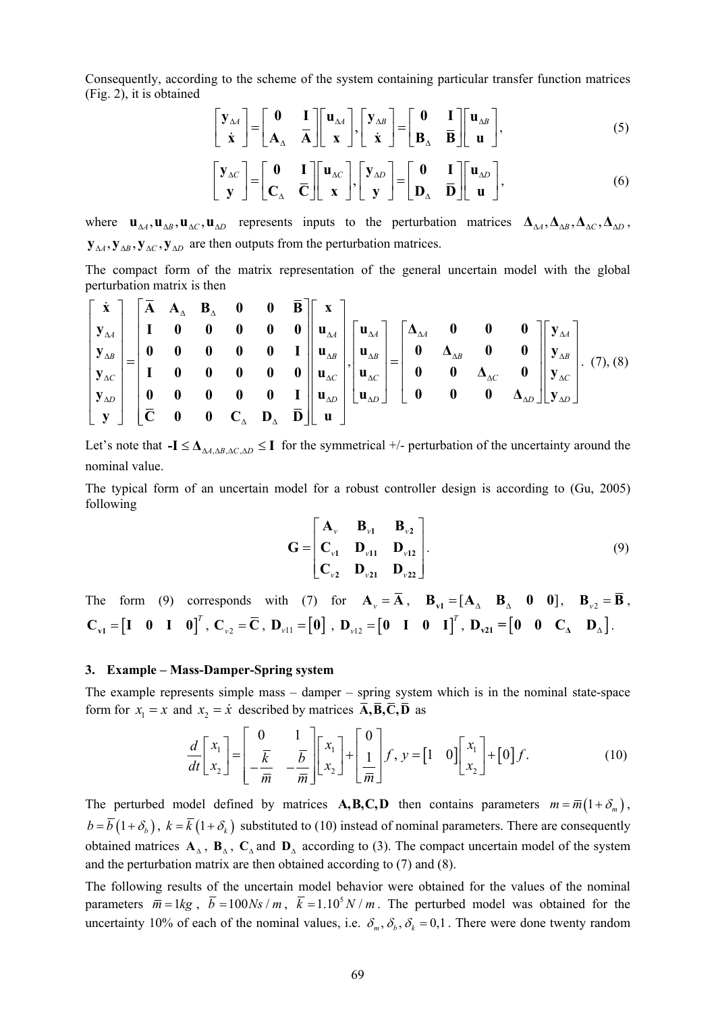Consequently, according to the scheme of the system containing particular transfer function matrices (Fig. 2), it is obtained

$$
\begin{bmatrix} \mathbf{y}_{\Delta A} \\ \dot{\mathbf{x}} \end{bmatrix} = \begin{bmatrix} \mathbf{0} & \mathbf{I} \\ \mathbf{A}_{\Delta} & \overline{\mathbf{A}} \end{bmatrix} \begin{bmatrix} \mathbf{u}_{\Delta A} \\ \mathbf{x} \end{bmatrix}, \begin{bmatrix} \mathbf{y}_{\Delta B} \\ \dot{\mathbf{x}} \end{bmatrix} = \begin{bmatrix} \mathbf{0} & \mathbf{I} \\ \mathbf{B}_{\Delta} & \overline{\mathbf{B}} \end{bmatrix} \begin{bmatrix} \mathbf{u}_{\Delta B} \\ \mathbf{u} \end{bmatrix},
$$
(5)

$$
\begin{bmatrix} \mathbf{y}_{\Delta C} \\ \mathbf{y} \end{bmatrix} = \begin{bmatrix} \mathbf{0} & \mathbf{I} \\ \mathbf{C}_{\Delta} & \overline{\mathbf{C}} \end{bmatrix} \begin{bmatrix} \mathbf{u}_{\Delta C} \\ \mathbf{x} \end{bmatrix}, \begin{bmatrix} \mathbf{y}_{\Delta D} \\ \mathbf{y} \end{bmatrix} = \begin{bmatrix} \mathbf{0} & \mathbf{I} \\ \mathbf{D}_{\Delta} & \overline{\mathbf{D}} \end{bmatrix} \begin{bmatrix} \mathbf{u}_{\Delta D} \\ \mathbf{u} \end{bmatrix},
$$
(6)

where  $\mathbf{u}_{\Delta A}$ ,  $\mathbf{u}_{\Delta B}$ ,  $\mathbf{u}_{\Delta C}$ ,  $\mathbf{u}_{\Delta D}$  represents inputs to the perturbation matrices  $\mathbf{\Delta}_{\Delta A}$ ,  $\mathbf{\Delta}_{\Delta B}$ ,  $\mathbf{\Delta}_{\Delta C}$ ,  $\mathbf{\Delta}_{\Delta D}$ ,  ${\bf y}_{\Delta A}$ ,  ${\bf y}_{\Delta B}$ ,  ${\bf y}_{\Delta C}$ ,  ${\bf y}_{\Delta D}$  are then outputs from the perturbation matrices.

The compact form of the matrix representation of the general uncertain model with the global perturbation matrix is then

$$
\begin{bmatrix} \dot{x} \\ y_{\Delta A} \\ y_{\Delta B} \\ y_{\Delta C} \\ y_{\Delta D} \\ y_{\Delta D} \\ y_{\Delta D} \\ y_{\Delta D} \end{bmatrix} = \begin{bmatrix} \overline{A} & A_{\Delta} & B_{\Delta} & 0 & 0 & \overline{B} \\ I & 0 & 0 & 0 & 0 & 0 \\ 0 & 0 & 0 & 0 & 0 & I \\ 0 & 0 & 0 & 0 & 0 & 0 \\ 0 & 0 & 0 & 0 & 0 & I \\ 0 & 0 & 0 & 0 & 0 & I \\ 0 & 0 & 0 & 0 & 0 & I \\ 0 & 0 & 0 & 0 & 0 & I \\ 0 & 0 & 0 & 0 & 0 & 0 \end{bmatrix} \begin{bmatrix} x \\ u_{\Delta A} \\ u_{\Delta B} \\ u_{\Delta C} \\ u_{\Delta D} \\ u_{\Delta D} \\ u_{\Delta D} \end{bmatrix} = \begin{bmatrix} \Delta_{\Delta A} & 0 & 0 & 0 & 0 \\ 0 & \Delta_{\Delta B} & 0 & 0 & 0 \\ 0 & 0 & \Delta_{\Delta C} & 0 & 0 \\ 0 & 0 & 0 & \Delta_{\Delta D} & 0 & 0 \\ 0 & 0 & 0 & \Delta_{\Delta D} & 0 & 0 \end{bmatrix} \begin{bmatrix} y_{\Delta A} \\ y_{\Delta B} \\ y_{\Delta C} \\ y_{\Delta C} \\ y_{\Delta D} \\ y_{\Delta D} \end{bmatrix}.
$$
 (7), (8)

Let's note that  $-I \leq \Delta_{\Delta A, \Delta B, \Delta C, \Delta D} \leq I$  for the symmetrical +/- perturbation of the uncertainty around the nominal value.

The typical form of an uncertain model for a robust controller design is according to (Gu, 2005) following

$$
\mathbf{G} = \begin{bmatrix} \mathbf{A}_{\nu} & \mathbf{B}_{\nu 1} & \mathbf{B}_{\nu 2} \\ \mathbf{C}_{\nu 1} & \mathbf{D}_{\nu 11} & \mathbf{D}_{\nu 12} \\ \mathbf{C}_{\nu 2} & \mathbf{D}_{\nu 21} & \mathbf{D}_{\nu 22} \end{bmatrix} .
$$
 (9)

The form (9) corresponds with (7) for  $\mathbf{A}_v = \overline{\mathbf{A}}$ ,  $\mathbf{B}_{v1} = [\mathbf{A}_v \ \mathbf{B}_v \ \mathbf{0} \ \mathbf{0}], \ \mathbf{B}_{v2} = \overline{\mathbf{B}}$ ,  $\mathbf{C}_{\mathbf{v1}} = \begin{bmatrix} \mathbf{I} & \mathbf{0} & \mathbf{I} & \mathbf{0} \end{bmatrix}^T$ ,  $\mathbf{C}_{\mathbf{v2}} = \mathbf{\overline{C}}$ ,  $\mathbf{D}_{\mathbf{v11}} = \begin{bmatrix} \mathbf{0} \end{bmatrix}$ ,  $\mathbf{D}_{\mathbf{v12}} = \begin{bmatrix} \mathbf{0} & \mathbf{I} & \mathbf{0} & \mathbf{I} \end{bmatrix}^T$ ,  $\mathbf{D}_{\mathbf{v21}} = \begin{bmatrix} \mathbf{0} & \mathbf{0} & \math$ 

#### **3. Example – Mass-Damper-Spring system**

The example represents simple mass – damper – spring system which is in the nominal state-space form for  $x_1 = x$  and  $x_2 = \dot{x}$  described by matrices  $\overline{A}, \overline{B}, \overline{C}, \overline{D}$  as

$$
\frac{d}{dt} \begin{bmatrix} x_1 \\ x_2 \end{bmatrix} = \begin{bmatrix} 0 & 1 \\ -\frac{\overline{k}}{\overline{m}} & -\frac{\overline{b}}{\overline{m}} \end{bmatrix} \begin{bmatrix} x_1 \\ x_2 \end{bmatrix} + \begin{bmatrix} 0 \\ \frac{1}{\overline{m}} \end{bmatrix} f, \ y = \begin{bmatrix} 1 & 0 \end{bmatrix} \begin{bmatrix} x_1 \\ x_2 \end{bmatrix} + \begin{bmatrix} 0 \end{bmatrix} f. \tag{10}
$$

The perturbed model defined by matrices  $\mathbf{A}, \mathbf{B}, \mathbf{C}, \mathbf{D}$  then contains parameters  $m = \overline{m}(1 + \delta_m)$ ,  $b = \overline{b} (1 + \delta_h)$ ,  $k = \overline{k} (1 + \delta_k)$  substituted to (10) instead of nominal parameters. There are consequently and the perturbation matrix are then obtained according to  $(7)$  and  $(8)$ . obtained matrices  $A_\lambda$ ,  $B_\lambda$ ,  $C_\lambda$  and  $D_\lambda$  according to (3). The compact uncertain model of the system

The following results of the uncertain model behavior were obtained for the values of the nominal parameters  $\overline{m} = 1kg$ ,  $\overline{b} = 100Ns/m$ ,  $\overline{k} = 1.10^5N/m$ . The perturbed model was obtained for the uncertainty 10% of each of the nominal values, i.e.  $\delta_m$ ,  $\delta_b$ ,  $\delta_k$  = 0,1. There were done twenty random